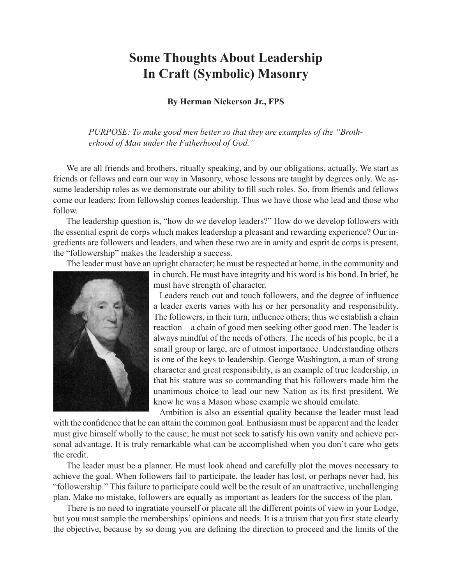## **Some Thoughts About Leadership In Craft (Symbolic) Masonry**

## **By Herman Nickerson Jr., FPS**

*PURPOSE: To make good men better so that they are examples of the "Brotherhood of Man under the Fatherhood of God."*

We are all friends and brothers, ritually speaking, and by our obligations, actually. We start as friends or fellows and earn our way in Masonry, whose lessons are taught by degrees only. We assume leadership roles as we demonstrate our ability to fill such roles. So, from friends and fellows come our leaders: from fellowship comes leadership. Thus we have those who lead and those who follow.

The leadership question is, "how do we develop leaders?" How do we develop followers with the essential esprit de corps which makes leadership a pleasant and rewarding experience? Our ingredients are followers and leaders, and when these two are in amity and esprit de corps is present, the "followership" makes the leadership a success.

The leader must have an upright character; he must be respected at home, in the community and



must have strength of character.

Leaders reach out and touch followers, and the degree of influence a leader exerts varies with his or her personality and responsibility. The followers, in their turn, influence others; thus we establish a chain reaction—a chain of good men seeking other good men. The leader is always mindful of the needs of others. The needs of his people, be it a small group or large, are of utmost importance. Understanding others is one of the keys to leadership. George Washington, a man of strong character and great responsibility, is an example of true leadership, in that his stature was so commanding that his followers made him the unanimous choice to lead our new Nation as its first president. We know he was a Mason whose example we should emulate.

in church. He must have integrity and his word is his bond. In brief, he

Ambition is also an essential quality because the leader must lead with the confidence that he can attain the common goal. Enthusiasm must be apparent and the leader must give himself wholly to the cause; he must not seek to satisfy his own vanity and achieve personal advantage. It is truly remarkable what can be accomplished when you don't care who gets the credit.

The leader must be a planner. He must look ahead and carefully plot the moves necessary to achieve the goal. When followers fail to participate, the leader has lost, or perhaps never had, his "followership." This failure to participate could well be the result of an unattractive, unchallenging plan. Make no mistake, followers are equally as important as leaders for the success of the plan.

There is no need to ingratiate yourself or placate all the different points of view in your Lodge, but you must sample the memberships' opinions and needs. It is a truism that you first state clearly the objective, because by so doing you are defining the direction to proceed and the limits of the